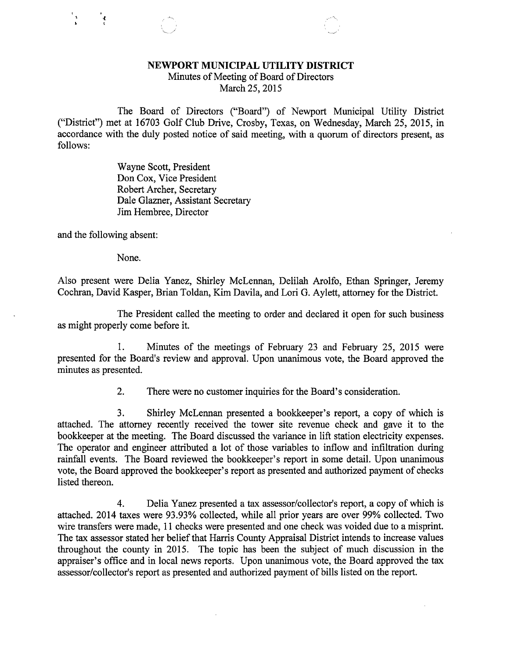## NEWPORT MUNICIPAL UTILITY DISTRICT

Minutes of Meeting of Board of Directors March 25, 2015

The Board of Directors ("Board") of Newport Municipal Utility District ("District") met at 16703 Golf Club Drive, Crosby, Texas, on Wednesday, March 25, 2015, in accordance with the duly posted notice of said meeting, with a quorum of directors present, as follows:

> Wayne Scott, President Don Cox, Vice President Robert Archer, Secretary Dale Glazner, Assistant Secretary Jim Hembree, Director

L

and the following absent:

1

None.

Also present were Delia Yanez, Shirley McLennan, Delilah Arolfo, Ethan Springer, Jeremy Cochran, David Kasper, Brian Toldan, Kim Davila, and Lori G. Aylett, attorney for the District.

The President called the meeting to order and declared it open for such business as might properly come before it.

1. Minutes of the meetings of February 23 and February 25, 2015 were presented for the Board's review and approval. Upon unanimous vote, the Board approved the minutes as presented.

2. There were no customer inquiries for the Board's consideration.

3. Shirley McLennan presented a bookkeeper's report, a copy of which is attached. The attorney recently received the tower site revenue check and gave it to the bookkeeper at the meeting. The Board discussed the variance in lift station electricity expenses. The operator and engineer attributed a lot of those variables to inflow and infiltration during rainfall events. The Board reviewed the bookkeeper's report in some detail. Upon unanimous vote, the Board approved the bookkeeper's report as presented and authorized payment of checks listed thereon.

4. Delia Yanez presented a tax assessor/collector's report, a copy of which is attached. 2014 taxes were 93.93% collected, while all prior years are over 99% collected. Two wire transfers were made, 11 checks were presented and one check was voided due to a misprint. The tax assessor stated her belief that Harris County Appraisal District intends to increase values throughout the county in 2015. The topic has been the subject of much discussion in the appraiser's office and in local news reports. Upon unanimous vote, the Board approved the tax assessor/collector's report as presented and authorized payment of bills listed on the report.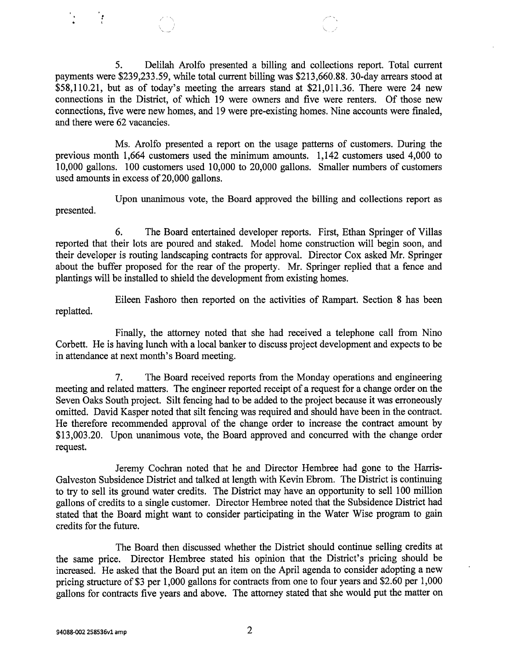5. Delilah Arolfo presented a billing and collections report. Total current payments were \$239,233.59, while total current billing was \$213,660.88. 30-day arrears stood at \$58,110.21, but as of today's meeting the arrears stand at \$21,011.36. There were 24 new connections in the District, of which 19 were owners and five were renters. Of those new connections, five were new homes, and 19 were pre-existing homes. Nine accounts were finaled, and there were 62 vacancies.

Ms. Arolfo presented a report on the usage patterns of customers. During the previous month 1,664 customers used the minimum amounts. 1,142 customers used 4,000 to 10,000 gallons. 100 customers used 10,000 to 20,000 gallons. Smaller numbers of customers used amounts in excess of 20,000 gallons.

Upon unanimous vote, the Board approved the billing and collections report as presented.

6. The Board entertained developer reports. First, Ethan Springer of Villas reported that their lots are poured and staked. Model home construction will begin soon, and their developer is routing landscaping contracts for approval. Director Cox asked Mr. Springer about the buffer proposed for the rear of the property. Mr. Springer replied that a fence and plantings will be installed to shield the development from existing homes.

Eileen Fashoro then reported on the activities of Rampart. Section 8 has been replatted.

Finally, the attorney noted that she had received a telephone call from Nino Corbett. He is having lunch with a local banker to discuss project development and expects to be in attendance at next month's Board meeting.

7. The Board received reports from the Monday operations and engineering meeting and related matters. The engineer reported receipt of a request for a change order on the Seven Oaks South project. Silt fencing had to be added to the project because it was erroneously omitted. David Kasper noted that silt fencing was required and should have been in the contract. He therefore recommended approval of the change order to increase the contract amount by \$13,003.20. Upon unanimous vote, the Board approved and concurred with the change order request.

Jeremy Cochran noted that he and Director Hembree had gone to the Harris-Galveston Subsidence District and talked at length with Kevin Ebrom. The District is continuing to try to sell its ground water credits. The District may have an opportunity to sell 100 million gallons of credits to a single customer. Director Hembree noted that the Subsidence District had stated that the Board might want to consider participating in the Water Wise program to gain credits for the future.

The Board then discussed whether the District should continue selling credits at the same price. Director Hembree stated his opinion that the District's pricing should be increased. He asked that the Board put an item on the April agenda to consider adopting a new pricing structure of \$3 per 1,000 gallons for contracts from one to four years and \$2.60 per 1,000 gallons for contracts five years and above. The attorney stated that she would put the matter on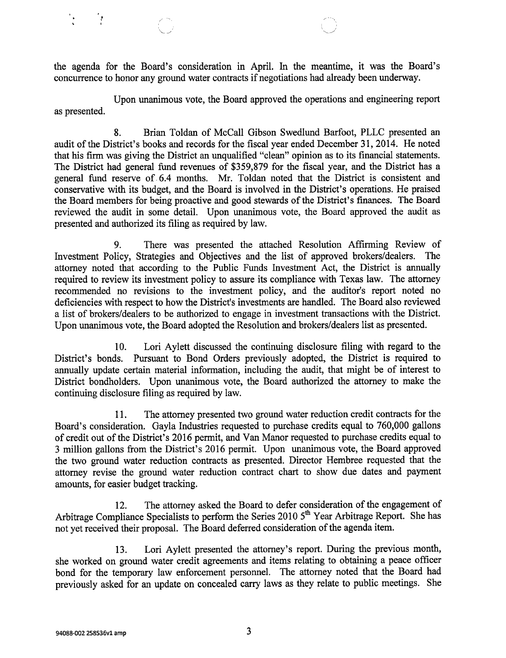the agenda for the Board's consideration in April. In the meantime, it was the Board's concurrence to honor any ground water contracts if negotiations had already been underway.

Upon unanimous vote, the Board approved the operations and engineering report as presented.

8. Brian Toldan of McCall Gibson Swedlund Barfoot, PLLC presented an audit of the District's books and records for the fiscal year ended December 31, 2014. He noted that his firm was giving the District an unqualified "clean" opinion as to its financial statements. The District had general fund revenues of \$359,879 for the fiscal year, and the District has a general fund reserve of 6.4 months. Mr. Toldan noted that the District is consistent and conservative with its budget, and the Board is involved in the District's operations. He praised the Board members for being proactive and good stewards of the District's finances. The Board reviewed the audit in some detail. Upon unanimous vote, the Board approved the audit as presented and authorized its filing as required by law.

9. There was presented the attached Resolution Affirming Review of Investment Policy, Strategies and Objectives and the list of approved brokers/dealers. The attorney noted that according to the Public Funds Investment Act, the District is annually required to review its investment policy to assure its compliance with Texas law. The attorney recommended no revisions to the investment policy, and the auditor's report noted no deficiencies with respect to how the District's investments are handled. The Board also reviewed a list of brokers/dealers to be authorized to engage in investment transactions with the District. Upon unanimous vote, the Board adopted the Resolution and brokers/dealers list as presented.

10. Lori Aylett discussed the continuing disclosure filing with regard to the District's bonds. Pursuant to Bond Orders previously adopted, the District is required to annually update certain material information, including the audit, that might be of interest to District bondholders. Upon unanimous vote, the Board authorized the attorney to make the continuing disclosure filing as required by law.

11. The attorney presented two ground water reduction credit contracts for the Board's consideration. Gayla Industries requested to purchase credits equal to 760,000 gallons of credit out of the District's 2016 permit, and Van Manor requested to purchase credits equal to 3 million gallons from the District's 2016 permit. Upon unanimous vote, the Board approved the two ground water reduction contracts as presented. Director Hembree requested that the attorney revise the ground water reduction contract chart to show due dates and payment amounts, for easier budget tracking.

12. The attorney asked the Board to defer consideration of the engagement of Arbitrage Compliance Specialists to perform the Series 2010 5<sup>th</sup> Year Arbitrage Report. She has not yet received their proposal. The Board deferred consideration of the agenda item.

13. Lori Aylett presented the attorney's report. During the previous month, she worked on ground water credit agreements and items relating to obtaining a peace officer bond for the temporary law enforcement personnel. The attorney noted that the Board had previously asked for an update on concealed carry laws as they relate to public meetings. She